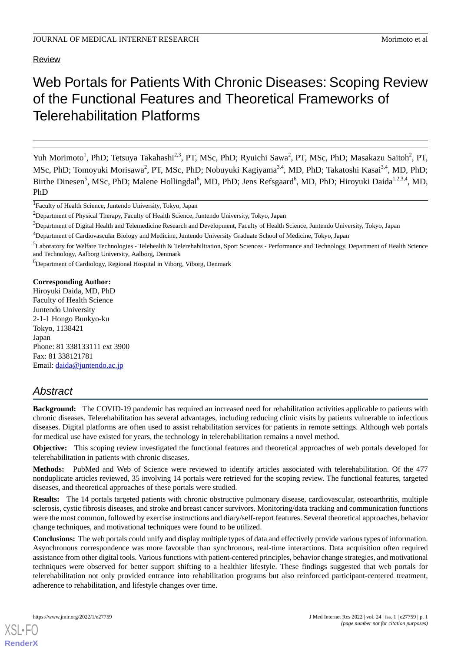Review

# Web Portals for Patients With Chronic Diseases: Scoping Review of the Functional Features and Theoretical Frameworks of Telerehabilitation Platforms

Yuh Morimoto<sup>1</sup>, PhD; Tetsuya Takahashi<sup>2,3</sup>, PT, MSc, PhD; Ryuichi Sawa<sup>2</sup>, PT, MSc, PhD; Masakazu Saitoh<sup>2</sup>, PT, MSc, PhD; Tomoyuki Morisawa<sup>2</sup>, PT, MSc, PhD; Nobuyuki Kagiyama<sup>3,4</sup>, MD, PhD; Takatoshi Kasai<sup>3,4</sup>, MD, PhD; Birthe Dinesen<sup>5</sup>, MSc, PhD; Malene Hollingdal<sup>6</sup>, MD, PhD; Jens Refsgaard<sup>6</sup>, MD, PhD; Hiroyuki Daida<sup>1,2,3,4</sup>, MD, PhD

<sup>1</sup>Faculty of Health Science, Juntendo University, Tokyo, Japan

 $3$ Department of Digital Health and Telemedicine Research and Development, Faculty of Health Science, Juntendo University, Tokyo, Japan

<sup>6</sup>Department of Cardiology, Regional Hospital in Viborg, Viborg, Denmark

**Corresponding Author:** Hiroyuki Daida, MD, PhD Faculty of Health Science Juntendo University 2-1-1 Hongo Bunkyo-ku Tokyo, 1138421 Japan Phone: 81 338133111 ext 3900 Fax: 81 338121781 Email: [daida@juntendo.ac.jp](mailto:daida@juntendo.ac.jp)

## *Abstract*

**Background:** The COVID-19 pandemic has required an increased need for rehabilitation activities applicable to patients with chronic diseases. Telerehabilitation has several advantages, including reducing clinic visits by patients vulnerable to infectious diseases. Digital platforms are often used to assist rehabilitation services for patients in remote settings. Although web portals for medical use have existed for years, the technology in telerehabilitation remains a novel method.

**Objective:** This scoping review investigated the functional features and theoretical approaches of web portals developed for telerehabilitation in patients with chronic diseases.

**Methods:** PubMed and Web of Science were reviewed to identify articles associated with telerehabilitation. Of the 477 nonduplicate articles reviewed, 35 involving 14 portals were retrieved for the scoping review. The functional features, targeted diseases, and theoretical approaches of these portals were studied.

**Results:** The 14 portals targeted patients with chronic obstructive pulmonary disease, cardiovascular, osteoarthritis, multiple sclerosis, cystic fibrosis diseases, and stroke and breast cancer survivors. Monitoring/data tracking and communication functions were the most common, followed by exercise instructions and diary/self-report features. Several theoretical approaches, behavior change techniques, and motivational techniques were found to be utilized.

**Conclusions:** The web portals could unify and display multiple types of data and effectively provide various types of information. Asynchronous correspondence was more favorable than synchronous, real-time interactions. Data acquisition often required assistance from other digital tools. Various functions with patient-centered principles, behavior change strategies, and motivational techniques were observed for better support shifting to a healthier lifestyle. These findings suggested that web portals for telerehabilitation not only provided entrance into rehabilitation programs but also reinforced participant-centered treatment, adherence to rehabilitation, and lifestyle changes over time.

<sup>&</sup>lt;sup>2</sup>Department of Physical Therapy, Faculty of Health Science, Juntendo University, Tokyo, Japan

<sup>4</sup>Department of Cardiovascular Biology and Medicine, Juntendo University Graduate School of Medicine, Tokyo, Japan

<sup>&</sup>lt;sup>5</sup>Laboratory for Welfare Technologies - Telehealth & Telerehabilitation, Sport Sciences - Performance and Technology, Department of Health Science and Technology, Aalborg University, Aalborg, Denmark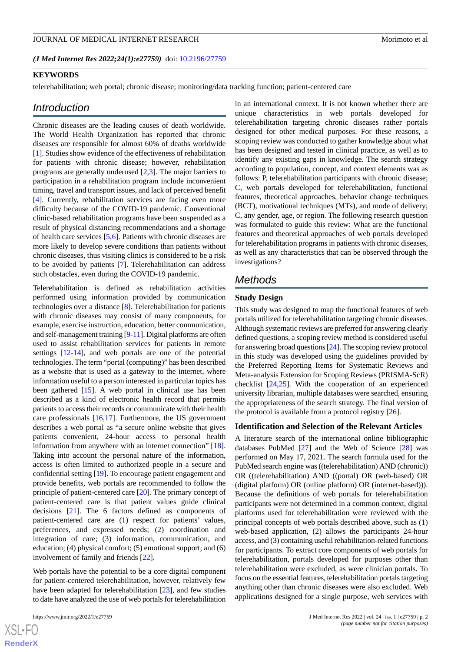*(J Med Internet Res 2022;24(1):e27759)* doi:  $10.2196/27759$ 

#### **KEYWORDS**

telerehabilitation; web portal; chronic disease; monitoring/data tracking function; patient-centered care

#### *Introduction*

Chronic diseases are the leading causes of death worldwide. The World Health Organization has reported that chronic diseases are responsible for almost 60% of deaths worldwide [[1\]](#page-10-0). Studies show evidence of the effectiveness of rehabilitation for patients with chronic disease; however, rehabilitation programs are generally underused [\[2](#page-10-1),[3\]](#page-10-2). The major barriers to participation in a rehabilitation program include inconvenient timing, travel and transport issues, and lack of perceived benefit [[4\]](#page-10-3). Currently, rehabilitation services are facing even more difficulty because of the COVID-19 pandemic. Conventional clinic-based rehabilitation programs have been suspended as a result of physical distancing recommendations and a shortage of health care services [\[5](#page-10-4),[6\]](#page-10-5). Patients with chronic diseases are more likely to develop severe conditions than patients without chronic diseases, thus visiting clinics is considered to be a risk to be avoided by patients [[7\]](#page-10-6). Telerehabilitation can address such obstacles, even during the COVID-19 pandemic.

Telerehabilitation is defined as rehabilitation activities performed using information provided by communication technologies over a distance [\[8\]](#page-10-7). Telerehabilitation for patients with chronic diseases may consist of many components, for example, exercise instruction, education, better communication, and self-management training [[9](#page-10-8)-[11\]](#page-10-9). Digital platforms are often used to assist rehabilitation services for patients in remote settings [[12-](#page-11-0)[14\]](#page-11-1), and web portals are one of the potential technologies. The term "portal (computing)" has been described as a website that is used as a gateway to the internet, where information useful to a person interested in particular topics has been gathered [\[15](#page-11-2)]. A web portal in clinical use has been described as a kind of electronic health record that permits patients to access their records or communicate with their health care professionals [[16,](#page-11-3)[17\]](#page-11-4). Furthermore, the US government describes a web portal as "a secure online website that gives patients convenient, 24-hour access to personal health information from anywhere with an internet connection" [[18\]](#page-11-5). Taking into account the personal nature of the information, access is often limited to authorized people in a secure and confidential setting [\[19](#page-11-6)]. To encourage patient engagement and provide benefits, web portals are recommended to follow the principle of patient-centered care [[20\]](#page-11-7). The primary concept of patient-centered care is that patient values guide clinical decisions [\[21](#page-11-8)]. The 6 factors defined as components of patient-centered care are (1) respect for patients' values, preferences, and expressed needs; (2) coordination and integration of care; (3) information, communication, and education; (4) physical comfort; (5) emotional support; and (6) involvement of family and friends [\[22](#page-11-9)].

Web portals have the potential to be a core digital component for patient-centered telerehabilitation, however, relatively few have been adapted for telerehabilitation [\[23](#page-11-10)], and few studies to date have analyzed the use of web portals for telerehabilitation

 $XS$  $\cdot$ FC **[RenderX](http://www.renderx.com/)** in an international context. It is not known whether there are unique characteristics in web portals developed for telerehabilitation targeting chronic diseases rather portals designed for other medical purposes. For these reasons, a scoping review was conducted to gather knowledge about what has been designed and tested in clinical practice, as well as to identify any existing gaps in knowledge. The search strategy according to population, concept, and context elements was as follows: P, telerehabilitation participants with chronic disease; C, web portals developed for telerehabilitation, functional features, theoretical approaches, behavior change techniques (BCT), motivational techniques (MTs), and mode of delivery; C, any gender, age, or region. The following research question was formulated to guide this review: What are the functional features and theoretical approaches of web portals developed for telerehabilitation programs in patients with chronic diseases, as well as any characteristics that can be observed through the investigations?

## *Methods*

#### **Study Design**

This study was designed to map the functional features of web portals utilized for telerehabilitation targeting chronic diseases. Although systematic reviews are preferred for answering clearly defined questions, a scoping review method is considered useful for answering broad questions [\[24](#page-11-11)]. The scoping review protocol in this study was developed using the guidelines provided by the Preferred Reporting Items for Systematic Reviews and Meta-analysis Extension for Scoping Reviews (PRISMA-ScR) checklist [[24](#page-11-11)[,25](#page-11-12)]. With the cooperation of an experienced university librarian, multiple databases were searched, ensuring the appropriateness of the search strategy. The final version of the protocol is available from a protocol registry  $[26]$  $[26]$ .

#### **Identification and Selection of the Relevant Articles**

A literature search of the international online bibliographic databases PubMed [[27\]](#page-11-14) and the Web of Science [\[28](#page-11-15)] was performed on May 17, 2021. The search formula used for the PubMed search engine was ((telerehabilitation) AND (chronic)) OR ((telerehabilitation) AND ((portal) OR (web-based) OR (digital platform) OR (online platform) OR (internet-based))). Because the definitions of web portals for telerehabilitation participants were not determined in a common context, digital platforms used for telerehabilitation were reviewed with the principal concepts of web portals described above, such as (1) web-based application, (2) allows the participants 24-hour access, and (3) containing useful rehabilitation-related functions for participants. To extract core components of web portals for telerehabilitation, portals developed for purposes other than telerehabilitation were excluded, as were clinician portals. To focus on the essential features, telerehabilitation portals targeting anything other than chronic diseases were also excluded. Web applications designed for a single purpose, web services with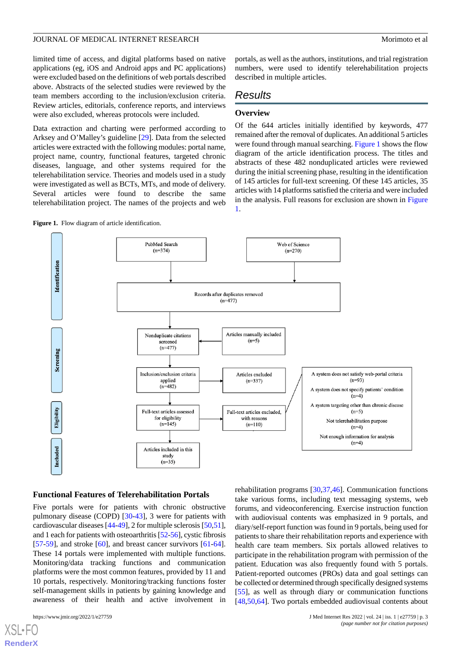limited time of access, and digital platforms based on native applications (eg, iOS and Android apps and PC applications) were excluded based on the definitions of web portals described above. Abstracts of the selected studies were reviewed by the team members according to the inclusion/exclusion criteria. Review articles, editorials, conference reports, and interviews were also excluded, whereas protocols were included.

Data extraction and charting were performed according to Arksey and O'Malley's guideline [\[29](#page-11-16)]. Data from the selected articles were extracted with the following modules: portal name, project name, country, functional features, targeted chronic diseases, language, and other systems required for the telerehabilitation service. Theories and models used in a study were investigated as well as BCTs, MTs, and mode of delivery. Several articles were found to describe the same telerehabilitation project. The names of the projects and web

<span id="page-2-0"></span>

portals, as well as the authors, institutions, and trial registration numbers, were used to identify telerehabilitation projects described in multiple articles.

## *Results*

#### **Overview**

Of the 644 articles initially identified by keywords, 477 remained after the removal of duplicates. An additional 5 articles were found through manual searching. [Figure 1](#page-2-0) shows the flow diagram of the article identification process. The titles and abstracts of these 482 nonduplicated articles were reviewed during the initial screening phase, resulting in the identification of 145 articles for full-text screening. Of these 145 articles, 35 articles with 14 platforms satisfied the criteria and were included in the analysis. Full reasons for exclusion are shown in [Figure](#page-2-0) [1.](#page-2-0)



#### **Functional Features of Telerehabilitation Portals**

Five portals were for patients with chronic obstructive pulmonary disease (COPD) [\[30](#page-11-17)[-43](#page-12-0)], 3 were for patients with cardiovascular diseases [[44-](#page-12-1)[49\]](#page-12-2), 2 for multiple sclerosis [[50,](#page-12-3)[51\]](#page-12-4), and 1 each for patients with osteoarthritis [\[52](#page-12-5)[-56](#page-12-6)], cystic fibrosis [[57](#page-12-7)[-59](#page-13-0)], and stroke  $[60]$  $[60]$ , and breast cancer survivors  $[61-64]$  $[61-64]$  $[61-64]$ . These 14 portals were implemented with multiple functions. Monitoring/data tracking functions and communication platforms were the most common features, provided by 11 and 10 portals, respectively. Monitoring/tracking functions foster self-management skills in patients by gaining knowledge and awareness of their health and active involvement in

[XSL](http://www.w3.org/Style/XSL)•FO **[RenderX](http://www.renderx.com/)**

rehabilitation programs [\[30](#page-11-17),[37,](#page-11-18)[46](#page-12-8)]. Communication functions take various forms, including text messaging systems, web forums, and videoconferencing. Exercise instruction function with audiovisual contents was emphasized in 9 portals, and diary/self-report function was found in 9 portals, being used for patients to share their rehabilitation reports and experience with health care team members. Six portals allowed relatives to participate in the rehabilitation program with permission of the patient. Education was also frequently found with 5 portals. Patient-reported outcomes (PROs) data and goal settings can be collected or determined through specifically designed systems [[55\]](#page-12-9), as well as through diary or communication functions [[48,](#page-12-10)[50,](#page-12-3)[64\]](#page-13-3). Two portals embedded audiovisual contents about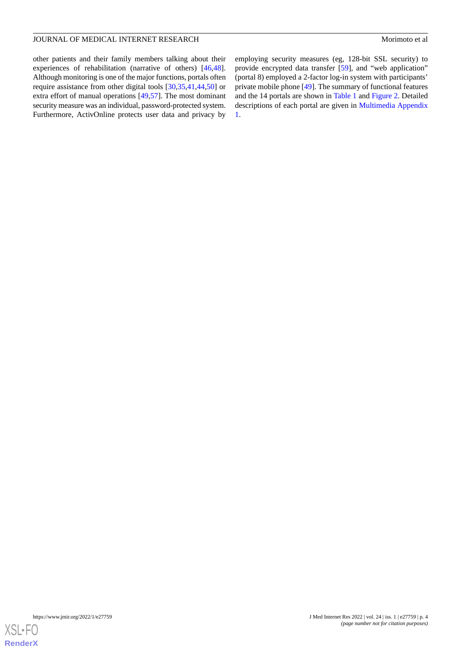other patients and their family members talking about their experiences of rehabilitation (narrative of others) [\[46](#page-12-8),[48\]](#page-12-10). Although monitoring is one of the major functions, portals often require assistance from other digital tools [\[30](#page-11-17),[35,](#page-11-19)[41](#page-12-11)[,44](#page-12-1)[,50](#page-12-3)] or extra effort of manual operations [[49,](#page-12-2)[57](#page-12-7)]. The most dominant security measure was an individual, password-protected system. Furthermore, ActivOnline protects user data and privacy by employing security measures (eg, 128-bit SSL security) to provide encrypted data transfer [\[59](#page-13-0)], and "web application" (portal 8) employed a 2-factor log-in system with participants' private mobile phone [[49\]](#page-12-2). The summary of functional features and the 14 portals are shown in [Table 1](#page-5-0) and [Figure 2.](#page-4-0) Detailed descriptions of each portal are given in [Multimedia Appendix](#page-10-10) [1.](#page-10-10)

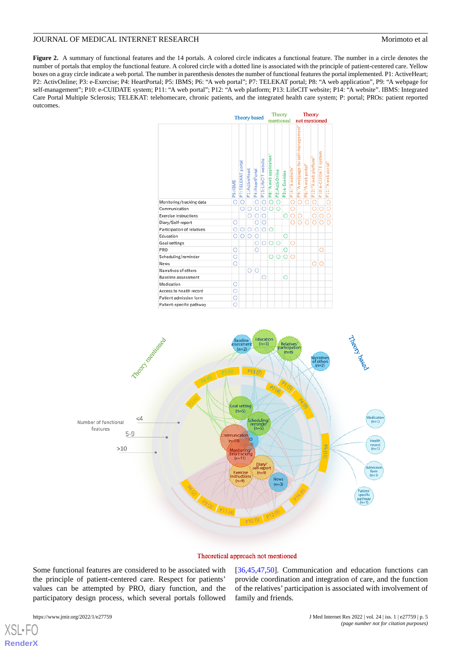<span id="page-4-0"></span>Figure 2. A summary of functional features and the 14 portals. A colored circle indicates a functional feature. The number in a circle denotes the number of portals that employ the functional feature. A colored circle with a dotted line is associated with the principle of patient-centered care. Yellow boxes on a gray circle indicate a web portal. The number in parenthesis denotes the number of functional features the portal implemented. P1: ActiveHeart; P2: ActivOnline; P3: e-Exercise; P4: HeartPortal; P5: IBMS; P6: "A web portal"; P7: TELEKAT portal; P8: "A web application", P9: "A webpage for self-management"; P10: e-CUIDATE system; P11: "A web portal"; P12: "A web platform; P13: LifeCIT website; P14: "A website". IBMS: Integrated Care Portal Multiple Sclerosis; TELEKAT: telehomecare, chronic patients, and the integrated health care system; P: portal; PROs: patient reported outcomes.

|                              |          | Theory based       |                 |                 |                      | Theory                  |                 |                |                    | Theory                              |                    |                       |                       |                     |  |
|------------------------------|----------|--------------------|-----------------|-----------------|----------------------|-------------------------|-----------------|----------------|--------------------|-------------------------------------|--------------------|-----------------------|-----------------------|---------------------|--|
|                              |          |                    |                 |                 |                      | mentioned               |                 |                |                    | not mentioned                       |                    |                       |                       |                     |  |
|                              | P5: IBMS | P7: TELEKAT portal | P1: ActiveHeart | P4: HeartPortal | P13: LifeCIT website | P8: "A web application" | P2: ActivOnline | P3: e-Exercise | P14: "A website"   | P9: "A webpage for self-management" | P6: "A web portal" | P12: "A web platform" | P10: e-CUIDATE system | P11: "A web portal" |  |
| Monitoring/tracking data     | O        | O                  |                 | O               | O                    | O                       | O               |                | Ō                  | O                                   | Ō                  | Ö                     |                       | Ō                   |  |
| Communication                |          | О                  | O               | O               | $\circ$              | O                       | O               |                | Ó                  |                                     |                    | О                     | O                     | Ō                   |  |
| <b>Exercise instructions</b> |          |                    | Ō               | Ō               | O                    |                         |                 | Ō              | $\overline{\circ}$ | O                                   |                    | Ō                     | $\overline{O}$        |                     |  |
| Diary/Self-report            | О        |                    |                 | О               | О                    |                         |                 |                | O                  | O                                   | O                  | O                     | $\circ$               |                     |  |
| Participation of relatives   | O        | O                  | $\circ$         | Ō               | $\circ$              | O                       |                 |                |                    |                                     |                    |                       |                       |                     |  |
| Education                    | Ō        | $\circ$            | $\circ$         | О               |                      |                         |                 | O              |                    |                                     |                    |                       |                       |                     |  |
| Goal settings                |          |                    |                 | O               | $\circ$              | O                       | Ō               |                | Ō                  |                                     |                    |                       |                       |                     |  |
| PRO                          | O        |                    |                 | O               |                      |                         |                 | Ο              |                    |                                     |                    |                       | О                     |                     |  |
| Scheduling/reminder          | Ō        |                    |                 |                 |                      | O                       | O               | O              | Ω                  |                                     |                    |                       |                       |                     |  |
| News                         | O        |                    |                 |                 |                      |                         |                 |                |                    |                                     |                    | O                     | Ō                     |                     |  |
| Narratives of others         |          |                    | O               | Ō               |                      |                         |                 |                |                    |                                     |                    |                       |                       |                     |  |
| Baseline assessment          |          |                    |                 |                 | О                    |                         |                 | O              |                    |                                     |                    |                       |                       |                     |  |
| Medication                   | O        |                    |                 |                 |                      |                         |                 |                |                    |                                     |                    |                       |                       |                     |  |
| Access to health record      | Ō        |                    |                 |                 |                      |                         |                 |                |                    |                                     |                    |                       |                       |                     |  |
| Patient admission form       | $\circ$  |                    |                 |                 |                      |                         |                 |                |                    |                                     |                    |                       |                       |                     |  |
| Patient-specific pathway     | Ō        |                    |                 |                 |                      |                         |                 |                |                    |                                     |                    |                       |                       |                     |  |



#### Theoretical approach not mentioned

Some functional features are considered to be associated with the principle of patient-centered care. Respect for patients' values can be attempted by PRO, diary function, and the participatory design process, which several portals followed

[XSL](http://www.w3.org/Style/XSL)•FO **[RenderX](http://www.renderx.com/)** [[36,](#page-11-20)[45,](#page-12-12)[47](#page-12-13)[,50](#page-12-3)]. Communication and education functions can provide coordination and integration of care, and the function of the relatives' participation is associated with involvement of family and friends.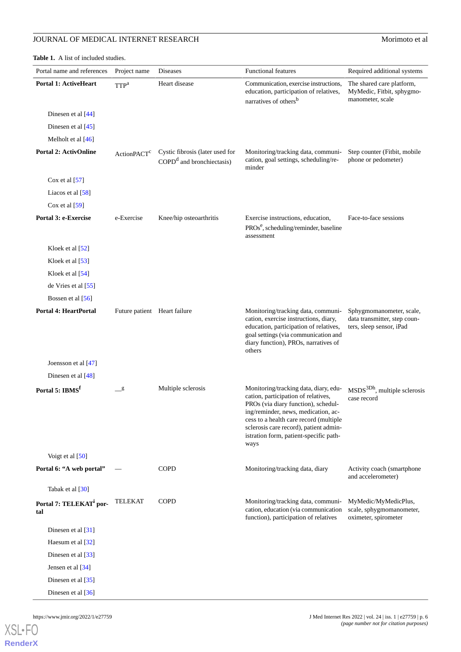## **JOURNAL OF MEDICAL INTERNET RESEARCH** Morimoto et al

## <span id="page-5-0"></span>**Table 1.** A list of included studies.

| Portal name and references                 | Project name                 | <b>Diseases</b>                                                        | <b>Functional features</b>                                                                                                                                                                                                                                                                       | Required additional systems                                                          |
|--------------------------------------------|------------------------------|------------------------------------------------------------------------|--------------------------------------------------------------------------------------------------------------------------------------------------------------------------------------------------------------------------------------------------------------------------------------------------|--------------------------------------------------------------------------------------|
| <b>Portal 1: ActiveHeart</b>               | TTP <sup>a</sup>             | Heart disease                                                          | Communication, exercise instructions,<br>education, participation of relatives,<br>narratives of others <sup>b</sup>                                                                                                                                                                             | The shared care platform,<br>MyMedic, Fitbit, sphygmo-<br>manometer, scale           |
| Dinesen et al [44]                         |                              |                                                                        |                                                                                                                                                                                                                                                                                                  |                                                                                      |
| Dinesen et al [45]                         |                              |                                                                        |                                                                                                                                                                                                                                                                                                  |                                                                                      |
| Melholt et al $[46]$                       |                              |                                                                        |                                                                                                                                                                                                                                                                                                  |                                                                                      |
| <b>Portal 2: ActivOnline</b>               | ActionPACT <sup>c</sup>      | Cystic fibrosis (later used for<br>$\text{COPD}^d$ and bronchiectasis) | Monitoring/tracking data, communi-<br>cation, goal settings, scheduling/re-<br>minder                                                                                                                                                                                                            | Step counter (Fitbit, mobile<br>phone or pedometer)                                  |
| Cox et al $[57]$                           |                              |                                                                        |                                                                                                                                                                                                                                                                                                  |                                                                                      |
| Liacos et al [58]                          |                              |                                                                        |                                                                                                                                                                                                                                                                                                  |                                                                                      |
| Cox et al $[59]$                           |                              |                                                                        |                                                                                                                                                                                                                                                                                                  |                                                                                      |
| Portal 3: e-Exercise                       | e-Exercise                   | Knee/hip osteoarthritis                                                | Exercise instructions, education,<br>$PROse$ , scheduling/reminder, baseline<br>assessment                                                                                                                                                                                                       | Face-to-face sessions                                                                |
| Kloek et al $[52]$                         |                              |                                                                        |                                                                                                                                                                                                                                                                                                  |                                                                                      |
| Kloek et al $[53]$                         |                              |                                                                        |                                                                                                                                                                                                                                                                                                  |                                                                                      |
| Kloek et al [54]                           |                              |                                                                        |                                                                                                                                                                                                                                                                                                  |                                                                                      |
| de Vries et al $[55]$                      |                              |                                                                        |                                                                                                                                                                                                                                                                                                  |                                                                                      |
| Bossen et al [56]                          |                              |                                                                        |                                                                                                                                                                                                                                                                                                  |                                                                                      |
| <b>Portal 4: HeartPortal</b>               | Future patient Heart failure |                                                                        | Monitoring/tracking data, communi-<br>cation, exercise instructions, diary,<br>education, participation of relatives,<br>goal settings (via communication and<br>diary function), PROs, narratives of<br>others                                                                                  | Sphygmomanometer, scale,<br>data transmitter, step coun-<br>ters, sleep sensor, iPad |
| Joensson et al [47]                        |                              |                                                                        |                                                                                                                                                                                                                                                                                                  |                                                                                      |
| Dinesen et al [48]                         |                              |                                                                        |                                                                                                                                                                                                                                                                                                  |                                                                                      |
| Portal 5: IBMS <sup>f</sup>                | $\_g$                        | Multiple sclerosis                                                     | Monitoring/tracking data, diary, edu-<br>cation, participation of relatives,<br>PROs (via diary function), schedul-<br>ing/reminder, news, medication, ac-<br>cess to a health care record (multiple<br>sclerosis care record), patient admin-<br>istration form, patient-specific path-<br>ways | MSDS <sup>3Dh</sup> , multiple sclerosis<br>case record                              |
| Voigt et al [50]                           |                              |                                                                        |                                                                                                                                                                                                                                                                                                  |                                                                                      |
| Portal 6: "A web portal"                   |                              | <b>COPD</b>                                                            | Monitoring/tracking data, diary                                                                                                                                                                                                                                                                  | Activity coach (smartphone<br>and accelerometer)                                     |
| Tabak et al [30]                           |                              |                                                                        |                                                                                                                                                                                                                                                                                                  |                                                                                      |
| Portal 7: TELEKAT <sup>i</sup> por-<br>tal | <b>TELEKAT</b>               | <b>COPD</b>                                                            | Monitoring/tracking data, communi-<br>cation, education (via communication<br>function), participation of relatives                                                                                                                                                                              | MyMedic/MyMedicPlus,<br>scale, sphygmomanometer,<br>oximeter, spirometer             |
| Dinesen et al [31]                         |                              |                                                                        |                                                                                                                                                                                                                                                                                                  |                                                                                      |
| Haesum et al [32]                          |                              |                                                                        |                                                                                                                                                                                                                                                                                                  |                                                                                      |
| Dinesen et al [33]                         |                              |                                                                        |                                                                                                                                                                                                                                                                                                  |                                                                                      |
| Jensen et al [34]                          |                              |                                                                        |                                                                                                                                                                                                                                                                                                  |                                                                                      |
| Dinesen et al [35]                         |                              |                                                                        |                                                                                                                                                                                                                                                                                                  |                                                                                      |
| Dinesen et al [36]                         |                              |                                                                        |                                                                                                                                                                                                                                                                                                  |                                                                                      |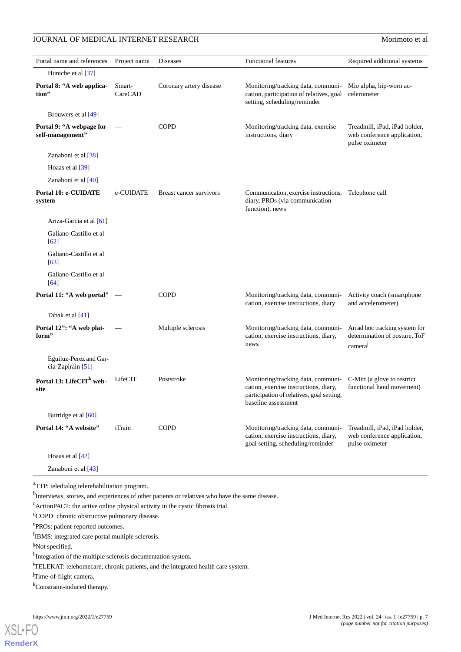## JOURNAL OF MEDICAL INTERNET RESEARCH Morinoto et al

| Portal name and references                   | Project name      | Diseases                | <b>Functional features</b>                                                                                                                      | Required additional systems                                                    |
|----------------------------------------------|-------------------|-------------------------|-------------------------------------------------------------------------------------------------------------------------------------------------|--------------------------------------------------------------------------------|
| Huniche et al [37]                           |                   |                         |                                                                                                                                                 |                                                                                |
| Portal 8: "A web applica-<br>tion"           | Smart-<br>CareCAD | Coronary artery disease | Monitoring/tracking data, communi-<br>cation, participation of relatives, goal<br>setting, scheduling/reminder                                  | Mio alpha, hip-worn ac-<br>celerometer                                         |
| Brouwers et al [49]                          |                   |                         |                                                                                                                                                 |                                                                                |
| Portal 9: "A webpage for<br>self-management" |                   | <b>COPD</b>             | Monitoring/tracking data, exercise<br>instructions, diary                                                                                       | Treadmill, iPad, iPad holder,<br>web conference application,<br>pulse oximeter |
| Zanaboni et al [38]                          |                   |                         |                                                                                                                                                 |                                                                                |
| Hoaas et al [39]                             |                   |                         |                                                                                                                                                 |                                                                                |
| Zanaboni et al $[40]$                        |                   |                         |                                                                                                                                                 |                                                                                |
| Portal 10: e-CUIDATE<br>system               | e-CUIDATE         | Breast cancer survivors | Communication, exercise instructions,<br>diary, PROs (via communication<br>function), news                                                      | Telephone call                                                                 |
| Ariza-Garcia et al [61]                      |                   |                         |                                                                                                                                                 |                                                                                |
| Galiano-Castillo et al<br>$\lceil 62 \rceil$ |                   |                         |                                                                                                                                                 |                                                                                |
| Galiano-Castillo et al<br>[63]               |                   |                         |                                                                                                                                                 |                                                                                |
| Galiano-Castillo et al<br>[64]               |                   |                         |                                                                                                                                                 |                                                                                |
| Portal 11: "A web portal" —                  |                   | <b>COPD</b>             | Monitoring/tracking data, communi-<br>cation, exercise instructions, diary                                                                      | Activity coach (smartphone<br>and accelerometer)                               |
| Tabak et al [41]                             |                   |                         |                                                                                                                                                 |                                                                                |
| Portal 12": "A web plat-<br>form"            |                   | Multiple sclerosis      | Monitoring/tracking data, communi-<br>cation, exercise instructions, diary,<br>news                                                             | An ad hoc tracking system for<br>determination of posture, ToF<br>camera       |
| Eguiluz-Perez and Gar-<br>cia-Zapirain [51]  |                   |                         |                                                                                                                                                 |                                                                                |
| Portal 13: LifeCIT <sup>k</sup> web-<br>site | LifeCIT           | Poststroke              | Monitoring/tracking data, communi-<br>cation, exercise instructions, diary,<br>participation of relatives, goal setting,<br>baseline assessment | C-Mitt (a glove to restrict<br>functional hand movement)                       |
| Burridge et al [60]                          |                   |                         |                                                                                                                                                 |                                                                                |
| Portal 14: "A website"                       | iTrain            | <b>COPD</b>             | Monitoring/tracking data, communi-<br>cation, exercise instructions, diary,<br>goal setting, scheduling/reminder                                | Treadmill, iPad, iPad holder,<br>web conference application,<br>pulse oximeter |
| Hoaas et al [42]                             |                   |                         |                                                                                                                                                 |                                                                                |
| Zanaboni et al [43]                          |                   |                         |                                                                                                                                                 |                                                                                |

<sup>a</sup>TTP: teledialog telerehabilitation program.

<sup>b</sup>Interviews, stories, and experiences of other patients or relatives who have the same disease.

 $c^c$ ActionPACT: the active online physical activity in the cystic fibrosis trial.

dCOPD: chronic obstructive pulmonary disease.

e<br>PROs: patient-reported outcomes.

fIBMS: integrated care portal multiple sclerosis.

<sup>g</sup>Not specified.

<sup>h</sup>Integration of the multiple sclerosis documentation system.

<sup>i</sup>TELEKAT: telehomecare, chronic patients, and the integrated health care system.

<sup>j</sup>Time-of-flight camera.

<sup>k</sup>Constraint-induced therapy.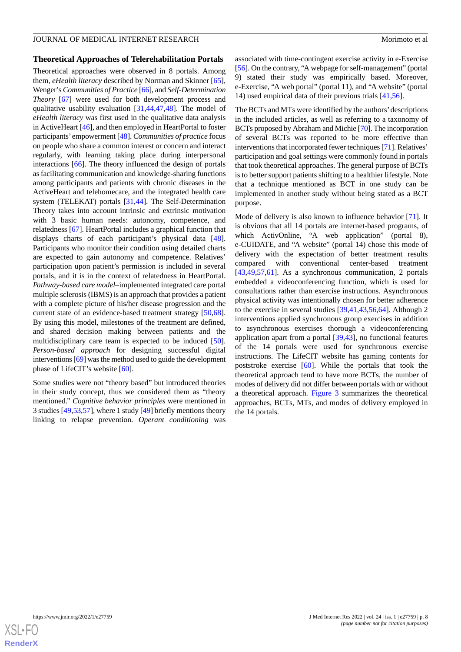#### **Theoretical Approaches of Telerehabilitation Portals**

Theoretical approaches were observed in 8 portals. Among them, *eHealth literacy* described by Norman and Skinner [[65\]](#page-13-7), Wenger's *Communities of Practice* [[66\]](#page-13-8), and *Self-Determination Theory* [\[67](#page-13-9)] were used for both development process and qualitative usability evaluation [\[31](#page-11-21),[44](#page-12-1)[,47](#page-12-13),[48\]](#page-12-10). The model of *eHealth literacy* was first used in the qualitative data analysis in ActiveHeart [\[46](#page-12-8)], and then employed in HeartPortal to foster participants' empowerment [[48\]](#page-12-10). *Communities of practice* focus on people who share a common interest or concern and interact regularly, with learning taking place during interpersonal interactions [[66\]](#page-13-8). The theory influenced the design of portals as facilitating communication and knowledge-sharing functions among participants and patients with chronic diseases in the ActiveHeart and telehomecare, and the integrated health care system (TELEKAT) portals [[31](#page-11-21)[,44](#page-12-1)]. The Self-Determination Theory takes into account intrinsic and extrinsic motivation with 3 basic human needs: autonomy, competence, and relatedness [[67\]](#page-13-9). HeartPortal includes a graphical function that displays charts of each participant's physical data [[48\]](#page-12-10). Participants who monitor their condition using detailed charts are expected to gain autonomy and competence. Relatives' participation upon patient's permission is included in several portals, and it is in the context of relatedness in HeartPortal. *Pathway-based care model*–implemented integrated care portal multiple sclerosis (IBMS) is an approach that provides a patient with a complete picture of his/her disease progression and the current state of an evidence-based treatment strategy [\[50](#page-12-3),[68\]](#page-13-10). By using this model, milestones of the treatment are defined, and shared decision making between patients and the multidisciplinary care team is expected to be induced [[50\]](#page-12-3). *Person-based approach* for designing successful digital interventions [\[69\]](#page-13-11) was the method used to guide the development phase of LifeCIT's website [[60\]](#page-13-1).

Some studies were not "theory based" but introduced theories in their study concept, thus we considered them as "theory mentioned." *Cognitive behavior principles* were mentioned in 3 studies [\[49](#page-12-2),[53](#page-12-14)[,57\]](#page-12-7), where 1 study [\[49](#page-12-2)] briefly mentions theory linking to relapse prevention. *Operant conditioning* was associated with time-contingent exercise activity in e-Exercise [[56\]](#page-12-6). On the contrary, "A webpage for self-management" (portal 9) stated their study was empirically based. Moreover, e-Exercise, "A web portal" (portal 11), and "A website" (portal 14) used empirical data of their previous trials [[41](#page-12-11)[,56](#page-12-6)].

The BCTs and MTs were identified by the authors'descriptions in the included articles, as well as referring to a taxonomy of BCTs proposed by Abraham and Michie [\[70](#page-13-12)]. The incorporation of several BCTs was reported to be more effective than interventions that incorporated fewer techniques [\[71\]](#page-13-13). Relatives' participation and goal settings were commonly found in portals that took theoretical approaches. The general purpose of BCTs is to better support patients shifting to a healthier lifestyle. Note that a technique mentioned as BCT in one study can be implemented in another study without being stated as a BCT purpose.

Mode of delivery is also known to influence behavior [[71\]](#page-13-13). It is obvious that all 14 portals are internet-based programs, of which ActivOnline, "A web application" (portal 8), e-CUIDATE, and "A website" (portal 14) chose this mode of delivery with the expectation of better treatment results compared with conventional center-based treatment [[43,](#page-12-0)[49,](#page-12-2)[57](#page-12-7)[,61](#page-13-2)]. As a synchronous communication, 2 portals embedded a videoconferencing function, which is used for consultations rather than exercise instructions. Asynchronous physical activity was intentionally chosen for better adherence to the exercise in several studies [[39](#page-12-17)[,41](#page-12-11),[43](#page-12-0)[,56](#page-12-6),[64\]](#page-13-3). Although 2 interventions applied synchronous group exercises in addition to asynchronous exercises thorough a videoconferencing application apart from a portal [\[39](#page-12-17),[43\]](#page-12-0), no functional features of the 14 portals were used for synchronous exercise instructions. The LifeCIT website has gaming contents for poststroke exercise [\[60](#page-13-1)]. While the portals that took the theoretical approach tend to have more BCTs, the number of modes of delivery did not differ between portals with or without a theoretical approach. [Figure 3](#page-8-0) summarizes the theoretical approaches, BCTs, MTs, and modes of delivery employed in the 14 portals.

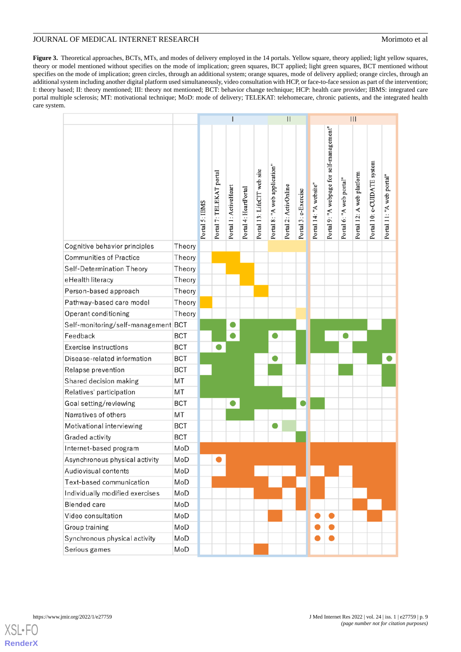<span id="page-8-0"></span>Figure 3. Theoretical approaches, BCTs, MTs, and modes of delivery employed in the 14 portals. Yellow square, theory applied; light yellow squares, theory or model mentioned without specifies on the mode of implication; green squares, BCT applied; light green squares, BCT mentioned without specifies on the mode of implication; green circles, through an additional system; orange squares, mode of delivery applied; orange circles, through an additional system including another digital platform used simultaneously, video consultation with HCP, or face-to-face session as part of the intervention; I: theory based; II: theory mentioned; III: theory not mentioned; BCT: behavior change technique; HCP: health care provider; IBMS: integrated care portal multiple sclerosis; MT: motivational technique; MoD: mode of delivery; TELEKAT: telehomecare, chronic patients, and the integrated health care system.

|                                     |            |                |                          |                       |                       |                             | $\overline{\mathbf{H}}$       |                       |                      | $\vert\vert\vert$      |                                           |                          |                           |                             |                           |
|-------------------------------------|------------|----------------|--------------------------|-----------------------|-----------------------|-----------------------------|-------------------------------|-----------------------|----------------------|------------------------|-------------------------------------------|--------------------------|---------------------------|-----------------------------|---------------------------|
|                                     |            | Portal 5: IBMS | Portal 7: TELEKAT portal | Portal 1: ActiveHeart | Portal 4: HeartPortal | Portal 13: LifeCIT web site | Portal 8: "A web application" | Portal 2: ActivOnline | Portal 3: e-Exercise | Portal 14: "A website" | Portal 9: "A webpage for self-management" | Portal 6: "A web portal" | Portal 12: A web platform | Portal 10: e-CUIDATE system | Portal 11: "A web portal" |
| Cognitive behavior principles       | Theory     |                |                          |                       |                       |                             |                               |                       |                      |                        |                                           |                          |                           |                             |                           |
| <b>Communities of Practice</b>      | Theory     |                |                          |                       |                       |                             |                               |                       |                      |                        |                                           |                          |                           |                             |                           |
| Self-Determination Theory           | Theory     |                |                          |                       |                       |                             |                               |                       |                      |                        |                                           |                          |                           |                             |                           |
| eHealth literacy                    | Theory     |                |                          |                       |                       |                             |                               |                       |                      |                        |                                           |                          |                           |                             |                           |
| Person-based approach               | Theory     |                |                          |                       |                       |                             |                               |                       |                      |                        |                                           |                          |                           |                             |                           |
| Pathway-based care model            | Theory     |                |                          |                       |                       |                             |                               |                       |                      |                        |                                           |                          |                           |                             |                           |
| Operant conditioning                | Theory     |                |                          |                       |                       |                             |                               |                       |                      |                        |                                           |                          |                           |                             |                           |
| Self-monitoring/self-management BCT |            |                |                          |                       |                       |                             |                               |                       |                      |                        |                                           |                          |                           |                             |                           |
| Feedback                            | <b>BCT</b> |                |                          |                       |                       |                             |                               |                       |                      |                        |                                           |                          |                           |                             |                           |
| <b>Exercise instructions</b>        | <b>BCT</b> |                |                          |                       |                       |                             |                               |                       |                      |                        |                                           |                          |                           |                             |                           |
| Disease-related information         | <b>BCT</b> |                |                          |                       |                       |                             | ●                             |                       |                      |                        |                                           |                          |                           |                             |                           |
| Relapse prevention                  | <b>BCT</b> |                |                          |                       |                       |                             |                               |                       |                      |                        |                                           |                          |                           |                             |                           |
| Shared decision making              | MT         |                |                          |                       |                       |                             |                               |                       |                      |                        |                                           |                          |                           |                             |                           |
| Relatives' participation            | MT         |                |                          |                       |                       |                             |                               |                       |                      |                        |                                           |                          |                           |                             |                           |
| Goal setting/reviewing              | <b>BCT</b> |                |                          |                       |                       |                             |                               |                       |                      |                        |                                           |                          |                           |                             |                           |
| Narratives of others                | MT         |                |                          |                       |                       |                             |                               |                       |                      |                        |                                           |                          |                           |                             |                           |
| Motivational interviewing           | <b>BCT</b> |                |                          |                       |                       |                             | 0                             |                       |                      |                        |                                           |                          |                           |                             |                           |
| Graded activity                     | <b>BCT</b> |                |                          |                       |                       |                             |                               |                       |                      |                        |                                           |                          |                           |                             |                           |
| Internet-based program              | MoD        |                |                          |                       |                       |                             |                               |                       |                      |                        |                                           |                          |                           |                             |                           |
| Asynchronous physical activity      | MoD        |                |                          |                       |                       |                             |                               |                       |                      |                        |                                           |                          |                           |                             |                           |
| Audiovisual contents                | MoD        |                |                          |                       |                       |                             |                               |                       |                      |                        |                                           |                          |                           |                             |                           |
| Text-based communication            | MoD        |                |                          |                       |                       |                             |                               |                       |                      |                        |                                           |                          |                           |                             |                           |
| Individually modified exercises     | MoD        |                |                          |                       |                       |                             |                               |                       |                      |                        |                                           |                          |                           |                             |                           |
| <b>Blended</b> care                 | MoD        |                |                          |                       |                       |                             |                               |                       |                      |                        |                                           |                          |                           |                             |                           |
| Video consultation                  | MoD        |                |                          |                       |                       |                             |                               |                       |                      |                        |                                           |                          |                           |                             |                           |
| Group training                      | MoD        |                |                          |                       |                       |                             |                               |                       |                      |                        |                                           |                          |                           |                             |                           |
| Synchronous physical activity       | MoD        |                |                          |                       |                       |                             |                               |                       |                      |                        |                                           |                          |                           |                             |                           |
| Serious games                       | MoD        |                |                          |                       |                       |                             |                               |                       |                      |                        |                                           |                          |                           |                             |                           |

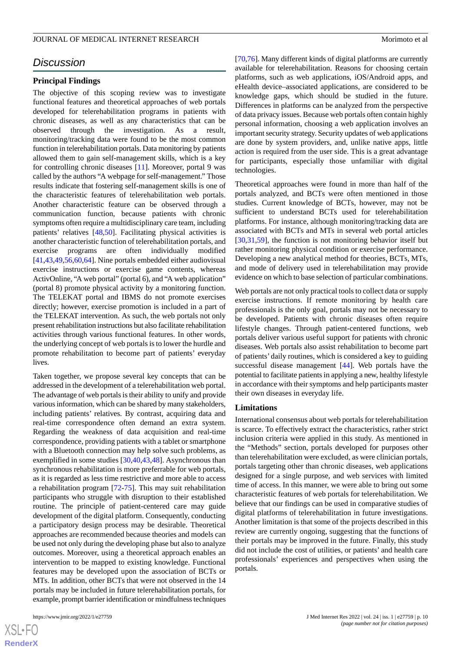## *Discussion*

#### **Principal Findings**

The objective of this scoping review was to investigate functional features and theoretical approaches of web portals developed for telerehabilitation programs in patients with chronic diseases, as well as any characteristics that can be observed through the investigation. As a result, monitoring/tracking data were found to be the most common function in telerehabilitation portals. Data monitoring by patients allowed them to gain self-management skills, which is a key for controlling chronic diseases [[11\]](#page-10-9). Moreover, portal 9 was called by the authors "A webpage for self-management." Those results indicate that fostering self-management skills is one of the characteristic features of telerehabilitation web portals. Another characteristic feature can be observed through a communication function, because patients with chronic symptoms often require a multidisciplinary care team, including patients' relatives [[48,](#page-12-10)[50](#page-12-3)]. Facilitating physical activities is another characteristic function of telerehabilitation portals, and exercise programs are often individually modified [[41](#page-12-11)[,43](#page-12-0),[49](#page-12-2)[,56](#page-12-6),[60](#page-13-1)[,64](#page-13-3)]. Nine portals embedded either audiovisual exercise instructions or exercise game contents, whereas ActivOnline, "A web portal" (portal 6), and "A web application" (portal 8) promote physical activity by a monitoring function. The TELEKAT portal and IBMS do not promote exercises directly; however, exercise promotion is included in a part of the TELEKAT intervention. As such, the web portals not only present rehabilitation instructions but also facilitate rehabilitation activities through various functional features. In other words, the underlying concept of web portals is to lower the hurdle and promote rehabilitation to become part of patients' everyday lives.

Taken together, we propose several key concepts that can be addressed in the development of a telerehabilitation web portal. The advantage of web portals is their ability to unify and provide various information, which can be shared by many stakeholders, including patients' relatives. By contrast, acquiring data and real-time correspondence often demand an extra system. Regarding the weakness of data acquisition and real-time correspondence, providing patients with a tablet or smartphone with a Bluetooth connection may help solve such problems, as exemplified in some studies [[30](#page-11-17)[,40](#page-12-18),[43](#page-12-0)[,48](#page-12-10)]. Asynchronous than synchronous rehabilitation is more preferrable for web portals, as it is regarded as less time restrictive and more able to access a rehabilitation program [\[72](#page-13-14)[-75](#page-13-15)]. This may suit rehabilitation participants who struggle with disruption to their established routine. The principle of patient-centered care may guide development of the digital platform. Consequently, conducting a participatory design process may be desirable. Theoretical approaches are recommended because theories and models can be used not only during the developing phase but also to analyze outcomes. Moreover, using a theoretical approach enables an intervention to be mapped to existing knowledge. Functional features may be developed upon the association of BCTs or MTs. In addition, other BCTs that were not observed in the 14 portals may be included in future telerehabilitation portals, for example, prompt barrier identification or mindfulness techniques

[[70,](#page-13-12)[76\]](#page-13-16). Many different kinds of digital platforms are currently available for telerehabilitation. Reasons for choosing certain platforms, such as web applications, iOS/Android apps, and eHealth device–associated applications, are considered to be knowledge gaps, which should be studied in the future. Differences in platforms can be analyzed from the perspective of data privacy issues. Because web portals often contain highly personal information, choosing a web application involves an important security strategy. Security updates of web applications are done by system providers, and, unlike native apps, little action is required from the user side. This is a great advantage for participants, especially those unfamiliar with digital technologies.

Theoretical approaches were found in more than half of the portals analyzed, and BCTs were often mentioned in those studies. Current knowledge of BCTs, however, may not be sufficient to understand BCTs used for telerehabilitation platforms. For instance, although monitoring/tracking data are associated with BCTs and MTs in several web portal articles [[30,](#page-11-17)[31,](#page-11-21)[59\]](#page-13-0), the function is not monitoring behavior itself but rather monitoring physical condition or exercise performance. Developing a new analytical method for theories, BCTs, MTs, and mode of delivery used in telerehabilitation may provide evidence on which to base selection of particular combinations.

Web portals are not only practical tools to collect data or supply exercise instructions. If remote monitoring by health care professionals is the only goal, portals may not be necessary to be developed. Patients with chronic diseases often require lifestyle changes. Through patient-centered functions, web portals deliver various useful support for patients with chronic diseases. Web portals also assist rehabilitation to become part of patients' daily routines, which is considered a key to guiding successful disease management [\[44](#page-12-1)]. Web portals have the potential to facilitate patients in applying a new, healthy lifestyle in accordance with their symptoms and help participants master their own diseases in everyday life.

#### **Limitations**

International consensus about web portals for telerehabilitation is scarce. To effectively extract the characteristics, rather strict inclusion criteria were applied in this study. As mentioned in the "Methods" section, portals developed for purposes other than telerehabilitation were excluded, as were clinician portals, portals targeting other than chronic diseases, web applications designed for a single purpose, and web services with limited time of access. In this manner, we were able to bring out some characteristic features of web portals for telerehabilitation. We believe that our findings can be used in comparative studies of digital platforms of telerehabilitation in future investigations. Another limitation is that some of the projects described in this review are currently ongoing, suggesting that the functions of their portals may be improved in the future. Finally, this study did not include the cost of utilities, or patients' and health care professionals' experiences and perspectives when using the portals.

 $XS$ -FO **[RenderX](http://www.renderx.com/)**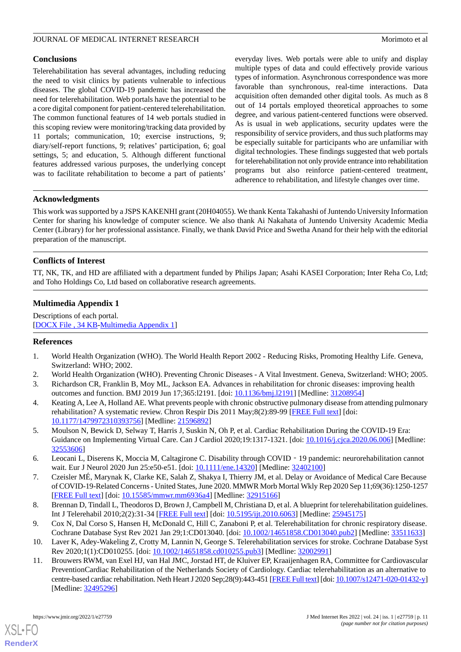## **Conclusions**

Telerehabilitation has several advantages, including reducing the need to visit clinics by patients vulnerable to infectious diseases. The global COVID-19 pandemic has increased the need for telerehabilitation. Web portals have the potential to be a core digital component for patient-centered telerehabilitation. The common functional features of 14 web portals studied in this scoping review were monitoring/tracking data provided by 11 portals; communication, 10; exercise instructions, 9; diary/self-report functions, 9; relatives' participation, 6; goal settings, 5; and education, 5. Although different functional features addressed various purposes, the underlying concept was to facilitate rehabilitation to become a part of patients'

everyday lives. Web portals were able to unify and display multiple types of data and could effectively provide various types of information. Asynchronous correspondence was more favorable than synchronous, real-time interactions. Data acquisition often demanded other digital tools. As much as 8 out of 14 portals employed theoretical approaches to some degree, and various patient-centered functions were observed. As is usual in web applications, security updates were the responsibility of service providers, and thus such platforms may be especially suitable for participants who are unfamiliar with digital technologies. These findings suggested that web portals for telerehabilitation not only provide entrance into rehabilitation programs but also reinforce patient-centered treatment, adherence to rehabilitation, and lifestyle changes over time.

## **Acknowledgments**

This work was supported by a JSPS KAKENHI grant (20H04055). We thank Kenta Takahashi of Juntendo University Information Center for sharing his knowledge of computer science. We also thank Ai Nakahata of Juntendo University Academic Media Center (Library) for her professional assistance. Finally, we thank David Price and Swetha Anand for their help with the editorial preparation of the manuscript.

## **Conflicts of Interest**

<span id="page-10-10"></span>TT, NK, TK, and HD are affiliated with a department funded by Philips Japan; Asahi KASEI Corporation; Inter Reha Co, Ltd; and Toho Holdings Co, Ltd based on collaborative research agreements.

## **Multimedia Appendix 1**

<span id="page-10-0"></span>Descriptions of each portal. [[DOCX File , 34 KB](https://jmir.org/api/download?alt_name=jmir_v24i1e27759_app1.docx&filename=400597b82b966250f644223cfe8e36c6.docx)-[Multimedia Appendix 1\]](https://jmir.org/api/download?alt_name=jmir_v24i1e27759_app1.docx&filename=400597b82b966250f644223cfe8e36c6.docx)

## <span id="page-10-2"></span><span id="page-10-1"></span>**References**

- <span id="page-10-3"></span>1. World Health Organization (WHO). The World Health Report 2002 - Reducing Risks, Promoting Healthy Life. Geneva, Switzerland: WHO; 2002.
- 2. World Health Organization (WHO). Preventing Chronic Diseases A Vital Investment. Geneva, Switzerland: WHO; 2005. 3. Richardson CR, Franklin B, Moy ML, Jackson EA. Advances in rehabilitation for chronic diseases: improving health
- <span id="page-10-4"></span>outcomes and function. BMJ 2019 Jun 17;365:l2191. [doi: [10.1136/bmj.l2191](http://dx.doi.org/10.1136/bmj.l2191)] [Medline: [31208954](http://www.ncbi.nlm.nih.gov/entrez/query.fcgi?cmd=Retrieve&db=PubMed&list_uids=31208954&dopt=Abstract)] 4. Keating A, Lee A, Holland AE. What prevents people with chronic obstructive pulmonary disease from attending pulmonary rehabilitation? A systematic review. Chron Respir Dis 2011 May;8(2):89-99 [[FREE Full text](https://journals.sagepub.com/doi/10.1177/1479972310393756?url_ver=Z39.88-2003&rfr_id=ori:rid:crossref.org&rfr_dat=cr_pub%3dpubmed)] [doi: [10.1177/1479972310393756\]](http://dx.doi.org/10.1177/1479972310393756) [Medline: [21596892\]](http://www.ncbi.nlm.nih.gov/entrez/query.fcgi?cmd=Retrieve&db=PubMed&list_uids=21596892&dopt=Abstract)
- <span id="page-10-6"></span><span id="page-10-5"></span>5. Moulson N, Bewick D, Selway T, Harris J, Suskin N, Oh P, et al. Cardiac Rehabilitation During the COVID-19 Era: Guidance on Implementing Virtual Care. Can J Cardiol 2020;19:1317-1321. [doi: [10.1016/j.cjca.2020.06.006](http://dx.doi.org/10.1016/j.cjca.2020.06.006)] [Medline: [32553606](http://www.ncbi.nlm.nih.gov/entrez/query.fcgi?cmd=Retrieve&db=PubMed&list_uids=32553606&dopt=Abstract)]
- <span id="page-10-7"></span>6. Leocani L, Diserens K, Moccia M, Caltagirone C. Disability through COVID‐19 pandemic: neurorehabilitation cannot wait. Eur J Neurol 2020 Jun 25:e50-e51. [doi: [10.1111/ene.14320](http://dx.doi.org/10.1111/ene.14320)] [Medline: [32402100\]](http://www.ncbi.nlm.nih.gov/entrez/query.fcgi?cmd=Retrieve&db=PubMed&list_uids=32402100&dopt=Abstract)
- <span id="page-10-8"></span>7. Czeisler MÉ, Marynak K, Clarke KE, Salah Z, Shakya I, Thierry JM, et al. Delay or Avoidance of Medical Care Because of COVID-19-Related Concerns - United States, June 2020. MMWR Morb Mortal Wkly Rep 2020 Sep 11;69(36):1250-1257 [[FREE Full text](https://doi.org/10.15585/mmwr.mm6936a4)] [doi: [10.15585/mmwr.mm6936a4\]](http://dx.doi.org/10.15585/mmwr.mm6936a4) [Medline: [32915166\]](http://www.ncbi.nlm.nih.gov/entrez/query.fcgi?cmd=Retrieve&db=PubMed&list_uids=32915166&dopt=Abstract)
- <span id="page-10-9"></span>8. Brennan D, Tindall L, Theodoros D, Brown J, Campbell M, Christiana D, et al. A blueprint for telerehabilitation guidelines. Int J Telerehabil 2010;2(2):31-34 [\[FREE Full text\]](http://europepmc.org/abstract/MED/25945175) [doi: [10.5195/ijt.2010.6063\]](http://dx.doi.org/10.5195/ijt.2010.6063) [Medline: [25945175](http://www.ncbi.nlm.nih.gov/entrez/query.fcgi?cmd=Retrieve&db=PubMed&list_uids=25945175&dopt=Abstract)]
- 9. Cox N, Dal Corso S, Hansen H, McDonald C, Hill C, Zanaboni P, et al. Telerehabilitation for chronic respiratory disease. Cochrane Database Syst Rev 2021 Jan 29;1:CD013040. [doi: [10.1002/14651858.CD013040.pub2\]](http://dx.doi.org/10.1002/14651858.CD013040.pub2) [Medline: [33511633\]](http://www.ncbi.nlm.nih.gov/entrez/query.fcgi?cmd=Retrieve&db=PubMed&list_uids=33511633&dopt=Abstract)
- 10. Laver K, Adey-Wakeling Z, Crotty M, Lannin N, George S. Telerehabilitation services for stroke. Cochrane Database Syst Rev 2020;1(1):CD010255. [doi: [10.1002/14651858.cd010255.pub3](http://dx.doi.org/10.1002/14651858.cd010255.pub3)] [Medline: [32002991\]](http://www.ncbi.nlm.nih.gov/entrez/query.fcgi?cmd=Retrieve&db=PubMed&list_uids=32002991&dopt=Abstract)
- 11. Brouwers RWM, van Exel HJ, van Hal JMC, Jorstad HT, de Kluiver EP, Kraaijenhagen RA, Committee for Cardiovascular PreventionCardiac Rehabilitation of the Netherlands Society of Cardiology. Cardiac telerehabilitation as an alternative to centre-based cardiac rehabilitation. Neth Heart J 2020 Sep;28(9):443-451 [[FREE Full text\]](http://europepmc.org/abstract/MED/32495296) [doi: [10.1007/s12471-020-01432-y](http://dx.doi.org/10.1007/s12471-020-01432-y)] [Medline: [32495296](http://www.ncbi.nlm.nih.gov/entrez/query.fcgi?cmd=Retrieve&db=PubMed&list_uids=32495296&dopt=Abstract)]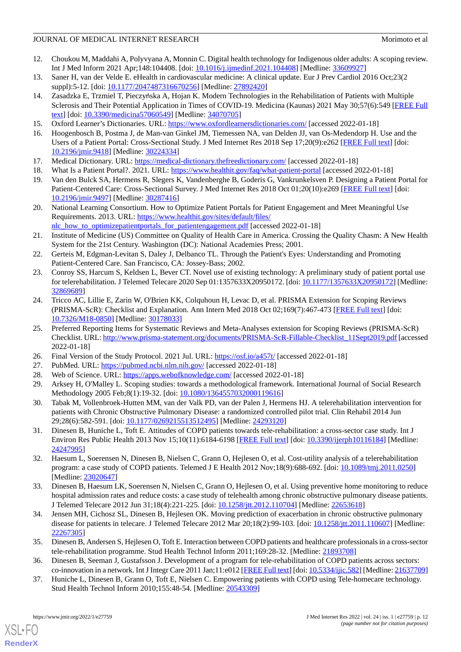- <span id="page-11-0"></span>12. Choukou M, Maddahi A, Polyvyana A, Monnin C. Digital health technology for Indigenous older adults: A scoping review. Int J Med Inform 2021 Apr;148:104408. [doi: [10.1016/j.ijmedinf.2021.104408](http://dx.doi.org/10.1016/j.ijmedinf.2021.104408)] [Medline: [33609927\]](http://www.ncbi.nlm.nih.gov/entrez/query.fcgi?cmd=Retrieve&db=PubMed&list_uids=33609927&dopt=Abstract)
- 13. Saner H, van der Velde E. eHealth in cardiovascular medicine: A clinical update. Eur J Prev Cardiol 2016 Oct;23(2 suppl):5-12. [doi: [10.1177/2047487316670256](http://dx.doi.org/10.1177/2047487316670256)] [Medline: [27892420](http://www.ncbi.nlm.nih.gov/entrez/query.fcgi?cmd=Retrieve&db=PubMed&list_uids=27892420&dopt=Abstract)]
- <span id="page-11-1"></span>14. Zasadzka E, Trzmiel T, Pieczyńska A, Hojan K. Modern Technologies in the Rehabilitation of Patients with Multiple Sclerosis and Their Potential Application in Times of COVID-19. Medicina (Kaunas) 2021 May 30;57(6):549 [[FREE Full](https://www.mdpi.com/resolver?pii=medicina57060549) [text](https://www.mdpi.com/resolver?pii=medicina57060549)] [doi: [10.3390/medicina57060549](http://dx.doi.org/10.3390/medicina57060549)] [Medline: [34070705](http://www.ncbi.nlm.nih.gov/entrez/query.fcgi?cmd=Retrieve&db=PubMed&list_uids=34070705&dopt=Abstract)]
- <span id="page-11-3"></span><span id="page-11-2"></span>15. Oxford Learner's Dictionaries. URL:<https://www.oxfordlearnersdictionaries.com/> [accessed 2022-01-18]
- <span id="page-11-4"></span>16. Hoogenbosch B, Postma J, de Man-van Ginkel JM, Tiemessen NA, van Delden JJ, van Os-Medendorp H. Use and the Users of a Patient Portal: Cross-Sectional Study. J Med Internet Res 2018 Sep 17;20(9):e262 [\[FREE Full text\]](https://www.jmir.org/2018/9/e262/) [doi: [10.2196/jmir.9418](http://dx.doi.org/10.2196/jmir.9418)] [Medline: [30224334](http://www.ncbi.nlm.nih.gov/entrez/query.fcgi?cmd=Retrieve&db=PubMed&list_uids=30224334&dopt=Abstract)]
- <span id="page-11-6"></span><span id="page-11-5"></span>17. Medical Dictionary. URL:<https://medical-dictionary.thefreedictionary.com/> [accessed 2022-01-18]
- 18. What Is a Patient Portal?. 2021. URL:<https://www.healthit.gov/faq/what-patient-portal> [accessed 2022-01-18]
- <span id="page-11-7"></span>19. Van den Bulck SA, Hermens R, Slegers K, Vandenberghe B, Goderis G, Vankrunkelsven P. Designing a Patient Portal for Patient-Centered Care: Cross-Sectional Survey. J Med Internet Res 2018 Oct 01;20(10):e269 [[FREE Full text](https://www.jmir.org/2018/10/e269/)] [doi: [10.2196/jmir.9497](http://dx.doi.org/10.2196/jmir.9497)] [Medline: [30287416](http://www.ncbi.nlm.nih.gov/entrez/query.fcgi?cmd=Retrieve&db=PubMed&list_uids=30287416&dopt=Abstract)]
- <span id="page-11-8"></span>20. National Learning Consortium. How to Optimize Patient Portals for Patient Engagement and Meet Meaningful Use Requirements. 2013. URL: [https://www.healthit.gov/sites/default/files/](https://www.healthit.gov/sites/default/files/nlc_how_to_optimizepatientportals_for_patientengagement.pdf) [nlc\\_how\\_to\\_optimizepatientportals\\_for\\_patientengagement.pdf](https://www.healthit.gov/sites/default/files/nlc_how_to_optimizepatientportals_for_patientengagement.pdf) [accessed 2022-01-18]
- <span id="page-11-9"></span>21. Institute of Medicine (US) Committee on Quality of Health Care in America. Crossing the Quality Chasm: A New Health System for the 21st Century. Washington (DC): National Academies Press; 2001.
- <span id="page-11-10"></span>22. Gerteis M, Edgman-Levitan S, Daley J, Delbanco TL. Through the Patient's Eyes: Understanding and Promoting Patient-Centered Care. San Francisco, CA: Jossey-Bass; 2002.
- <span id="page-11-11"></span>23. Conroy SS, Harcum S, Keldsen L, Bever CT. Novel use of existing technology: A preliminary study of patient portal use for telerehabilitation. J Telemed Telecare 2020 Sep 01:1357633X20950172. [doi: [10.1177/1357633X20950172\]](http://dx.doi.org/10.1177/1357633X20950172) [Medline: [32869689](http://www.ncbi.nlm.nih.gov/entrez/query.fcgi?cmd=Retrieve&db=PubMed&list_uids=32869689&dopt=Abstract)]
- <span id="page-11-12"></span>24. Tricco AC, Lillie E, Zarin W, O'Brien KK, Colquhoun H, Levac D, et al. PRISMA Extension for Scoping Reviews (PRISMA-ScR): Checklist and Explanation. Ann Intern Med 2018 Oct 02;169(7):467-473 [[FREE Full text](https://www.acpjournals.org/doi/abs/10.7326/M18-0850?url_ver=Z39.88-2003&rfr_id=ori:rid:crossref.org&rfr_dat=cr_pub%3dpubmed)] [doi: [10.7326/M18-0850](http://dx.doi.org/10.7326/M18-0850)] [Medline: [30178033\]](http://www.ncbi.nlm.nih.gov/entrez/query.fcgi?cmd=Retrieve&db=PubMed&list_uids=30178033&dopt=Abstract)
- <span id="page-11-15"></span><span id="page-11-14"></span><span id="page-11-13"></span>25. Preferred Reporting Items for Systematic Reviews and Meta-Analyses extension for Scoping Reviews (PRISMA-ScR) Checklist. URL: [http://www.prisma-statement.org/documents/PRISMA-ScR-Fillable-Checklist\\_11Sept2019.pdf](http://www.prisma-statement.org/documents/PRISMA-ScR-Fillable-Checklist_11Sept2019.pdf) [accessed 2022-01-18]
- <span id="page-11-16"></span>26. Final Version of the Study Protocol. 2021 Jul. URL:<https://osf.io/a457t/> [accessed 2022-01-18]
- <span id="page-11-17"></span>27. PubMed. URL: <https://pubmed.ncbi.nlm.nih.gov/> [accessed 2022-01-18]
- 28. Web of Science. URL:<https://apps.webofknowledge.com/> [accessed 2022-01-18]
- <span id="page-11-21"></span>29. Arksey H, O'Malley L. Scoping studies: towards a methodological framework. International Journal of Social Research Methodology 2005 Feb;8(1):19-32. [doi: [10.1080/1364557032000119616\]](http://dx.doi.org/10.1080/1364557032000119616)
- <span id="page-11-22"></span>30. Tabak M, Vollenbroek-Hutten MM, van der Valk PD, van der Palen J, Hermens HJ. A telerehabilitation intervention for patients with Chronic Obstructive Pulmonary Disease: a randomized controlled pilot trial. Clin Rehabil 2014 Jun 29;28(6):582-591. [doi: [10.1177/0269215513512495\]](http://dx.doi.org/10.1177/0269215513512495) [Medline: [24293120](http://www.ncbi.nlm.nih.gov/entrez/query.fcgi?cmd=Retrieve&db=PubMed&list_uids=24293120&dopt=Abstract)]
- <span id="page-11-23"></span>31. Dinesen B, Huniche L, Toft E. Attitudes of COPD patients towards tele-rehabilitation: a cross-sector case study. Int J Environ Res Public Health 2013 Nov 15;10(11):6184-6198 [\[FREE Full text](https://www.mdpi.com/resolver?pii=ijerph10116184)] [doi: [10.3390/ijerph10116184](http://dx.doi.org/10.3390/ijerph10116184)] [Medline: [24247995](http://www.ncbi.nlm.nih.gov/entrez/query.fcgi?cmd=Retrieve&db=PubMed&list_uids=24247995&dopt=Abstract)]
- <span id="page-11-24"></span>32. Haesum L, Soerensen N, Dinesen B, Nielsen C, Grann O, Hejlesen O, et al. Cost-utility analysis of a telerehabilitation program: a case study of COPD patients. Telemed J E Health 2012 Nov;18(9):688-692. [doi: [10.1089/tmj.2011.0250\]](http://dx.doi.org/10.1089/tmj.2011.0250) [Medline: [23020647](http://www.ncbi.nlm.nih.gov/entrez/query.fcgi?cmd=Retrieve&db=PubMed&list_uids=23020647&dopt=Abstract)]
- <span id="page-11-19"></span>33. Dinesen B, Haesum LK, Soerensen N, Nielsen C, Grann O, Hejlesen O, et al. Using preventive home monitoring to reduce hospital admission rates and reduce costs: a case study of telehealth among chronic obstructive pulmonary disease patients. J Telemed Telecare 2012 Jun 31;18(4):221-225. [doi: [10.1258/jtt.2012.110704](http://dx.doi.org/10.1258/jtt.2012.110704)] [Medline: [22653618](http://www.ncbi.nlm.nih.gov/entrez/query.fcgi?cmd=Retrieve&db=PubMed&list_uids=22653618&dopt=Abstract)]
- <span id="page-11-20"></span><span id="page-11-18"></span>34. Jensen MH, Cichosz SL, Dinesen B, Hejlesen OK. Moving prediction of exacerbation in chronic obstructive pulmonary disease for patients in telecare. J Telemed Telecare 2012 Mar 20;18(2):99-103. [doi: [10.1258/jtt.2011.110607\]](http://dx.doi.org/10.1258/jtt.2011.110607) [Medline: [22267305](http://www.ncbi.nlm.nih.gov/entrez/query.fcgi?cmd=Retrieve&db=PubMed&list_uids=22267305&dopt=Abstract)]
- 35. Dinesen B, Andersen S, Hejlesen O, Toft E. Interaction between COPD patients and healthcare professionals in a cross-sector tele-rehabilitation programme. Stud Health Technol Inform 2011;169:28-32. [Medline: [21893708\]](http://www.ncbi.nlm.nih.gov/entrez/query.fcgi?cmd=Retrieve&db=PubMed&list_uids=21893708&dopt=Abstract)
- 36. Dinesen B, Seeman J, Gustafsson J. Development of a program for tele-rehabilitation of COPD patients across sectors: co-innovation in a network. Int J Integr Care 2011 Jan;11:e012 [[FREE Full text](http://europepmc.org/abstract/MED/21637709)] [doi: [10.5334/ijic.582\]](http://dx.doi.org/10.5334/ijic.582) [Medline: [21637709\]](http://www.ncbi.nlm.nih.gov/entrez/query.fcgi?cmd=Retrieve&db=PubMed&list_uids=21637709&dopt=Abstract)
- 37. Huniche L, Dinesen B, Grann O, Toft E, Nielsen C. Empowering patients with COPD using Tele-homecare technology. Stud Health Technol Inform 2010;155:48-54. [Medline: [20543309](http://www.ncbi.nlm.nih.gov/entrez/query.fcgi?cmd=Retrieve&db=PubMed&list_uids=20543309&dopt=Abstract)]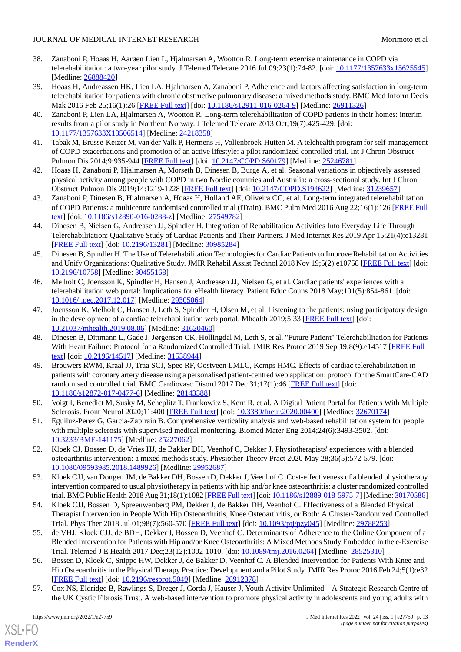- <span id="page-12-16"></span>38. Zanaboni P, Hoaas H, Aarøen Lien L, Hjalmarsen A, Wootton R. Long-term exercise maintenance in COPD via telerehabilitation: a two-year pilot study. J Telemed Telecare 2016 Jul 09;23(1):74-82. [doi: [10.1177/1357633x15625545](http://dx.doi.org/10.1177/1357633x15625545)] [Medline: [26888420](http://www.ncbi.nlm.nih.gov/entrez/query.fcgi?cmd=Retrieve&db=PubMed&list_uids=26888420&dopt=Abstract)]
- <span id="page-12-17"></span>39. Hoaas H, Andreassen HK, Lien LA, Hjalmarsen A, Zanaboni P. Adherence and factors affecting satisfaction in long-term telerehabilitation for patients with chronic obstructive pulmonary disease: a mixed methods study. BMC Med Inform Decis Mak 2016 Feb 25;16(1):26 [\[FREE Full text\]](https://bmcmedinformdecismak.biomedcentral.com/articles/10.1186/s12911-016-0264-9) [doi: [10.1186/s12911-016-0264-9](http://dx.doi.org/10.1186/s12911-016-0264-9)] [Medline: [26911326\]](http://www.ncbi.nlm.nih.gov/entrez/query.fcgi?cmd=Retrieve&db=PubMed&list_uids=26911326&dopt=Abstract)
- <span id="page-12-18"></span>40. Zanaboni P, Lien LA, Hjalmarsen A, Wootton R. Long-term telerehabilitation of COPD patients in their homes: interim results from a pilot study in Northern Norway. J Telemed Telecare 2013 Oct;19(7):425-429. [doi: [10.1177/1357633X13506514](http://dx.doi.org/10.1177/1357633X13506514)] [Medline: [24218358\]](http://www.ncbi.nlm.nih.gov/entrez/query.fcgi?cmd=Retrieve&db=PubMed&list_uids=24218358&dopt=Abstract)
- <span id="page-12-19"></span><span id="page-12-11"></span>41. Tabak M, Brusse-Keizer M, van der Valk P, Hermens H, Vollenbroek-Hutten M. A telehealth program for self-management of COPD exacerbations and promotion of an active lifestyle: a pilot randomized controlled trial. Int J Chron Obstruct Pulmon Dis 2014;9:935-944 [\[FREE Full text\]](https://dx.doi.org/10.2147/COPD.S60179) [doi: [10.2147/COPD.S60179\]](http://dx.doi.org/10.2147/COPD.S60179) [Medline: [25246781\]](http://www.ncbi.nlm.nih.gov/entrez/query.fcgi?cmd=Retrieve&db=PubMed&list_uids=25246781&dopt=Abstract)
- <span id="page-12-0"></span>42. Hoaas H, Zanaboni P, Hjalmarsen A, Morseth B, Dinesen B, Burge A, et al. Seasonal variations in objectively assessed physical activity among people with COPD in two Nordic countries and Australia: a cross-sectional study. Int J Chron Obstruct Pulmon Dis 2019;14:1219-1228 [\[FREE Full text\]](https://dx.doi.org/10.2147/COPD.S194622) [doi: [10.2147/COPD.S194622\]](http://dx.doi.org/10.2147/COPD.S194622) [Medline: [31239657\]](http://www.ncbi.nlm.nih.gov/entrez/query.fcgi?cmd=Retrieve&db=PubMed&list_uids=31239657&dopt=Abstract)
- <span id="page-12-1"></span>43. Zanaboni P, Dinesen B, Hjalmarsen A, Hoaas H, Holland AE, Oliveira CC, et al. Long-term integrated telerehabilitation of COPD Patients: a multicentre randomised controlled trial (iTrain). BMC Pulm Med 2016 Aug 22;16(1):126 [[FREE Full](https://bmcpulmmed.biomedcentral.com/articles/10.1186/s12890-016-0288-z) [text](https://bmcpulmmed.biomedcentral.com/articles/10.1186/s12890-016-0288-z)] [doi: [10.1186/s12890-016-0288-z](http://dx.doi.org/10.1186/s12890-016-0288-z)] [Medline: [27549782\]](http://www.ncbi.nlm.nih.gov/entrez/query.fcgi?cmd=Retrieve&db=PubMed&list_uids=27549782&dopt=Abstract)
- <span id="page-12-12"></span>44. Dinesen B, Nielsen G, Andreasen JJ, Spindler H. Integration of Rehabilitation Activities Into Everyday Life Through Telerehabilitation: Qualitative Study of Cardiac Patients and Their Partners. J Med Internet Res 2019 Apr 15;21(4):e13281 [[FREE Full text](https://www.jmir.org/2019/4/e13281/)] [doi: [10.2196/13281\]](http://dx.doi.org/10.2196/13281) [Medline: [30985284\]](http://www.ncbi.nlm.nih.gov/entrez/query.fcgi?cmd=Retrieve&db=PubMed&list_uids=30985284&dopt=Abstract)
- <span id="page-12-8"></span>45. Dinesen B, Spindler H. The Use of Telerehabilitation Technologies for Cardiac Patients to Improve Rehabilitation Activities and Unify Organizations: Qualitative Study. JMIR Rehabil Assist Technol 2018 Nov 19;5(2):e10758 [\[FREE Full text](https://rehab.jmir.org/2018/2/e10758/)] [doi: [10.2196/10758\]](http://dx.doi.org/10.2196/10758) [Medline: [30455168\]](http://www.ncbi.nlm.nih.gov/entrez/query.fcgi?cmd=Retrieve&db=PubMed&list_uids=30455168&dopt=Abstract)
- <span id="page-12-13"></span>46. Melholt C, Joensson K, Spindler H, Hansen J, Andreasen JJ, Nielsen G, et al. Cardiac patients' experiences with a telerehabilitation web portal: Implications for eHealth literacy. Patient Educ Couns 2018 May;101(5):854-861. [doi: [10.1016/j.pec.2017.12.017\]](http://dx.doi.org/10.1016/j.pec.2017.12.017) [Medline: [29305064](http://www.ncbi.nlm.nih.gov/entrez/query.fcgi?cmd=Retrieve&db=PubMed&list_uids=29305064&dopt=Abstract)]
- <span id="page-12-10"></span>47. Joensson K, Melholt C, Hansen J, Leth S, Spindler H, Olsen M, et al. Listening to the patients: using participatory design in the development of a cardiac telerehabilitation web portal. Mhealth 2019;5:33 [\[FREE Full text\]](https://doi.org/10.21037/mhealth.2019.08.06) [doi: [10.21037/mhealth.2019.08.06](http://dx.doi.org/10.21037/mhealth.2019.08.06)] [Medline: [31620460](http://www.ncbi.nlm.nih.gov/entrez/query.fcgi?cmd=Retrieve&db=PubMed&list_uids=31620460&dopt=Abstract)]
- <span id="page-12-2"></span>48. Dinesen B, Dittmann L, Gade J, Jørgensen CK, Hollingdal M, Leth S, et al. "Future Patient" Telerehabilitation for Patients With Heart Failure: Protocol for a Randomized Controlled Trial. JMIR Res Protoc 2019 Sep 19;8(9):e14517 [[FREE Full](https://www.researchprotocols.org/2019/9/e14517/) [text](https://www.researchprotocols.org/2019/9/e14517/)] [doi: [10.2196/14517\]](http://dx.doi.org/10.2196/14517) [Medline: [31538944\]](http://www.ncbi.nlm.nih.gov/entrez/query.fcgi?cmd=Retrieve&db=PubMed&list_uids=31538944&dopt=Abstract)
- <span id="page-12-4"></span><span id="page-12-3"></span>49. Brouwers RWM, Kraal JJ, Traa SCJ, Spee RF, Oostveen LMLC, Kemps HMC. Effects of cardiac telerehabilitation in patients with coronary artery disease using a personalised patient-centred web application: protocol for the SmartCare-CAD randomised controlled trial. BMC Cardiovasc Disord 2017 Dec 31;17(1):46 [[FREE Full text\]](https://bmccardiovascdisord.biomedcentral.com/articles/10.1186/s12872-017-0477-6) [doi: [10.1186/s12872-017-0477-6\]](http://dx.doi.org/10.1186/s12872-017-0477-6) [Medline: [28143388](http://www.ncbi.nlm.nih.gov/entrez/query.fcgi?cmd=Retrieve&db=PubMed&list_uids=28143388&dopt=Abstract)]
- <span id="page-12-5"></span>50. Voigt I, Benedict M, Susky M, Scheplitz T, Frankowitz S, Kern R, et al. A Digital Patient Portal for Patients With Multiple Sclerosis. Front Neurol 2020;11:400 [\[FREE Full text\]](https://doi.org/10.3389/fneur.2020.00400) [doi: [10.3389/fneur.2020.00400\]](http://dx.doi.org/10.3389/fneur.2020.00400) [Medline: [32670174\]](http://www.ncbi.nlm.nih.gov/entrez/query.fcgi?cmd=Retrieve&db=PubMed&list_uids=32670174&dopt=Abstract)
- <span id="page-12-14"></span>51. Eguiluz-Perez G, Garcia-Zapirain B. Comprehensive verticality analysis and web-based rehabilitation system for people with multiple sclerosis with supervised medical monitoring. Biomed Mater Eng 2014;24(6):3493-3502. [doi: [10.3233/BME-141175\]](http://dx.doi.org/10.3233/BME-141175) [Medline: [25227062\]](http://www.ncbi.nlm.nih.gov/entrez/query.fcgi?cmd=Retrieve&db=PubMed&list_uids=25227062&dopt=Abstract)
- <span id="page-12-15"></span>52. Kloek CJ, Bossen D, de Vries HJ, de Bakker DH, Veenhof C, Dekker J. Physiotherapists' experiences with a blended osteoarthritis intervention: a mixed methods study. Physiother Theory Pract 2020 May 28;36(5):572-579. [doi: [10.1080/09593985.2018.1489926\]](http://dx.doi.org/10.1080/09593985.2018.1489926) [Medline: [29952687\]](http://www.ncbi.nlm.nih.gov/entrez/query.fcgi?cmd=Retrieve&db=PubMed&list_uids=29952687&dopt=Abstract)
- <span id="page-12-9"></span>53. Kloek CJJ, van Dongen JM, de Bakker DH, Bossen D, Dekker J, Veenhof C. Cost-effectiveness of a blended physiotherapy intervention compared to usual physiotherapy in patients with hip and/or knee osteoarthritis: a cluster randomized controlled trial. BMC Public Health 2018 Aug 31;18(1):1082 [[FREE Full text](https://bmcpublichealth.biomedcentral.com/articles/10.1186/s12889-018-5975-7)] [doi: [10.1186/s12889-018-5975-7](http://dx.doi.org/10.1186/s12889-018-5975-7)] [Medline: [30170586\]](http://www.ncbi.nlm.nih.gov/entrez/query.fcgi?cmd=Retrieve&db=PubMed&list_uids=30170586&dopt=Abstract)
- <span id="page-12-6"></span>54. Kloek CJJ, Bossen D, Spreeuwenberg PM, Dekker J, de Bakker DH, Veenhof C. Effectiveness of a Blended Physical Therapist Intervention in People With Hip Osteoarthritis, Knee Osteoarthritis, or Both: A Cluster-Randomized Controlled Trial. Phys Ther 2018 Jul 01;98(7):560-570 [[FREE Full text](http://europepmc.org/abstract/MED/29788253)] [doi: [10.1093/ptj/pzy045\]](http://dx.doi.org/10.1093/ptj/pzy045) [Medline: [29788253](http://www.ncbi.nlm.nih.gov/entrez/query.fcgi?cmd=Retrieve&db=PubMed&list_uids=29788253&dopt=Abstract)]
- <span id="page-12-7"></span>55. de VHJ, Kloek CJJ, de BDH, Dekker J, Bossen D, Veenhof C. Determinants of Adherence to the Online Component of a Blended Intervention for Patients with Hip and/or Knee Osteoarthritis: A Mixed Methods Study Embedded in the e-Exercise Trial. Telemed J E Health 2017 Dec;23(12):1002-1010. [doi: [10.1089/tmj.2016.0264\]](http://dx.doi.org/10.1089/tmj.2016.0264) [Medline: [28525310\]](http://www.ncbi.nlm.nih.gov/entrez/query.fcgi?cmd=Retrieve&db=PubMed&list_uids=28525310&dopt=Abstract)
- 56. Bossen D, Kloek C, Snippe HW, Dekker J, de Bakker D, Veenhof C. A Blended Intervention for Patients With Knee and Hip Osteoarthritis in the Physical Therapy Practice: Development and a Pilot Study. JMIR Res Protoc 2016 Feb 24;5(1):e32 [[FREE Full text](https://www.researchprotocols.org/2016/1/e32/)] [doi: [10.2196/resprot.5049](http://dx.doi.org/10.2196/resprot.5049)] [Medline: [26912378\]](http://www.ncbi.nlm.nih.gov/entrez/query.fcgi?cmd=Retrieve&db=PubMed&list_uids=26912378&dopt=Abstract)
- 57. Cox NS, Eldridge B, Rawlings S, Dreger J, Corda J, Hauser J, Youth Activity Unlimited A Strategic Research Centre of the UK Cystic Fibrosis Trust. A web-based intervention to promote physical activity in adolescents and young adults with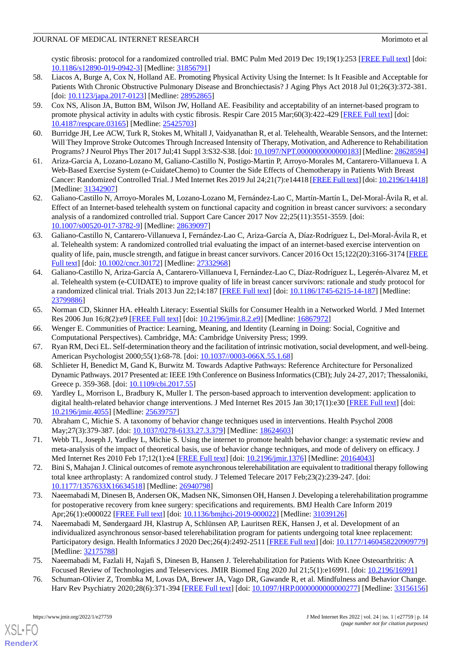cystic fibrosis: protocol for a randomized controlled trial. BMC Pulm Med 2019 Dec 19;19(1):253 [\[FREE Full text\]](https://bmcpulmmed.biomedcentral.com/articles/10.1186/s12890-019-0942-3) [doi: [10.1186/s12890-019-0942-3\]](http://dx.doi.org/10.1186/s12890-019-0942-3) [Medline: [31856791](http://www.ncbi.nlm.nih.gov/entrez/query.fcgi?cmd=Retrieve&db=PubMed&list_uids=31856791&dopt=Abstract)]

- <span id="page-13-4"></span>58. Liacos A, Burge A, Cox N, Holland AE. Promoting Physical Activity Using the Internet: Is It Feasible and Acceptable for Patients With Chronic Obstructive Pulmonary Disease and Bronchiectasis? J Aging Phys Act 2018 Jul 01;26(3):372-381. [doi: [10.1123/japa.2017-0123\]](http://dx.doi.org/10.1123/japa.2017-0123) [Medline: [28952865\]](http://www.ncbi.nlm.nih.gov/entrez/query.fcgi?cmd=Retrieve&db=PubMed&list_uids=28952865&dopt=Abstract)
- <span id="page-13-0"></span>59. Cox NS, Alison JA, Button BM, Wilson JW, Holland AE. Feasibility and acceptability of an internet-based program to promote physical activity in adults with cystic fibrosis. Respir Care 2015 Mar;60(3):422-429 [\[FREE Full text\]](http://rc.rcjournal.com/cgi/pmidlookup?view=short&pmid=25425703) [doi: [10.4187/respcare.03165\]](http://dx.doi.org/10.4187/respcare.03165) [Medline: [25425703](http://www.ncbi.nlm.nih.gov/entrez/query.fcgi?cmd=Retrieve&db=PubMed&list_uids=25425703&dopt=Abstract)]
- <span id="page-13-2"></span><span id="page-13-1"></span>60. Burridge JH, Lee ACW, Turk R, Stokes M, Whitall J, Vaidyanathan R, et al. Telehealth, Wearable Sensors, and the Internet: Will They Improve Stroke Outcomes Through Increased Intensity of Therapy, Motivation, and Adherence to Rehabilitation Programs? J Neurol Phys Ther 2017 Jul;41 Suppl 3:S32-S38. [doi: [10.1097/NPT.0000000000000183](http://dx.doi.org/10.1097/NPT.0000000000000183)] [Medline: [28628594\]](http://www.ncbi.nlm.nih.gov/entrez/query.fcgi?cmd=Retrieve&db=PubMed&list_uids=28628594&dopt=Abstract)
- <span id="page-13-5"></span>61. Ariza-Garcia A, Lozano-Lozano M, Galiano-Castillo N, Postigo-Martin P, Arroyo-Morales M, Cantarero-Villanueva I. A Web-Based Exercise System (e-CuidateChemo) to Counter the Side Effects of Chemotherapy in Patients With Breast Cancer: Randomized Controlled Trial. J Med Internet Res 2019 Jul 24;21(7):e14418 [[FREE Full text](https://www.jmir.org/2019/7/e14418/)] [doi: [10.2196/14418](http://dx.doi.org/10.2196/14418)] [Medline: [31342907](http://www.ncbi.nlm.nih.gov/entrez/query.fcgi?cmd=Retrieve&db=PubMed&list_uids=31342907&dopt=Abstract)]
- <span id="page-13-6"></span>62. Galiano-Castillo N, Arroyo-Morales M, Lozano-Lozano M, Fernández-Lao C, Martín-Martín L, Del-Moral-Ávila R, et al. Effect of an Internet-based telehealth system on functional capacity and cognition in breast cancer survivors: a secondary analysis of a randomized controlled trial. Support Care Cancer 2017 Nov 22;25(11):3551-3559. [doi: [10.1007/s00520-017-3782-9\]](http://dx.doi.org/10.1007/s00520-017-3782-9) [Medline: [28639097](http://www.ncbi.nlm.nih.gov/entrez/query.fcgi?cmd=Retrieve&db=PubMed&list_uids=28639097&dopt=Abstract)]
- <span id="page-13-3"></span>63. Galiano-Castillo N, Cantarero-Villanueva I, Fernández-Lao C, Ariza-García A, Díaz-Rodríguez L, Del-Moral-Ávila R, et al. Telehealth system: A randomized controlled trial evaluating the impact of an internet-based exercise intervention on quality of life, pain, muscle strength, and fatigue in breast cancer survivors. Cancer 2016 Oct 15;122(20):3166-3174 [\[FREE](https://doi.org/10.1002/cncr.30172) [Full text\]](https://doi.org/10.1002/cncr.30172) [doi: [10.1002/cncr.30172\]](http://dx.doi.org/10.1002/cncr.30172) [Medline: [27332968](http://www.ncbi.nlm.nih.gov/entrez/query.fcgi?cmd=Retrieve&db=PubMed&list_uids=27332968&dopt=Abstract)]
- <span id="page-13-7"></span>64. Galiano-Castillo N, Ariza-García A, Cantarero-Villanueva I, Fernández-Lao C, Díaz-Rodríguez L, Legerén-Alvarez M, et al. Telehealth system (e-CUIDATE) to improve quality of life in breast cancer survivors: rationale and study protocol for a randomized clinical trial. Trials 2013 Jun 22;14:187 [[FREE Full text](https://trialsjournal.biomedcentral.com/articles/10.1186/1745-6215-14-187)] [doi: [10.1186/1745-6215-14-187\]](http://dx.doi.org/10.1186/1745-6215-14-187) [Medline: [23799886](http://www.ncbi.nlm.nih.gov/entrez/query.fcgi?cmd=Retrieve&db=PubMed&list_uids=23799886&dopt=Abstract)]
- <span id="page-13-9"></span><span id="page-13-8"></span>65. Norman CD, Skinner HA. eHealth Literacy: Essential Skills for Consumer Health in a Networked World. J Med Internet Res 2006 Jun 16;8(2):e9 [\[FREE Full text\]](https://www.jmir.org/2006/2/e9/) [doi: [10.2196/jmir.8.2.e9](http://dx.doi.org/10.2196/jmir.8.2.e9)] [Medline: [16867972](http://www.ncbi.nlm.nih.gov/entrez/query.fcgi?cmd=Retrieve&db=PubMed&list_uids=16867972&dopt=Abstract)]
- <span id="page-13-10"></span>66. Wenger E. Communities of Practice: Learning, Meaning, and Identity (Learning in Doing: Social, Cognitive and Computational Perspectives). Cambridge, MA: Cambridge University Press; 1999.
- <span id="page-13-11"></span>67. Ryan RM, Deci EL. Self-determination theory and the facilitation of intrinsic motivation, social development, and well-being. American Psychologist 2000;55(1):68-78. [doi: [10.1037//0003-066X.55.1.68](http://dx.doi.org/10.1037//0003-066X.55.1.68)]
- <span id="page-13-12"></span>68. Schlieter H, Benedict M, Gand K, Burwitz M. Towards Adaptive Pathways: Reference Architecture for Personalized Dynamic Pathways. 2017 Presented at: IEEE 19th Conference on Business Informatics (CBI); July 24-27, 2017; Thessaloniki, Greece p. 359-368. [doi: [10.1109/cbi.2017.55\]](http://dx.doi.org/10.1109/cbi.2017.55)
- <span id="page-13-13"></span>69. Yardley L, Morrison L, Bradbury K, Muller I. The person-based approach to intervention development: application to digital health-related behavior change interventions. J Med Internet Res 2015 Jan 30;17(1):e30 [\[FREE Full text\]](https://www.jmir.org/2015/1/e30/) [doi: [10.2196/jmir.4055](http://dx.doi.org/10.2196/jmir.4055)] [Medline: [25639757](http://www.ncbi.nlm.nih.gov/entrez/query.fcgi?cmd=Retrieve&db=PubMed&list_uids=25639757&dopt=Abstract)]
- <span id="page-13-14"></span>70. Abraham C, Michie S. A taxonomy of behavior change techniques used in interventions. Health Psychol 2008 May;27(3):379-387. [doi: [10.1037/0278-6133.27.3.379\]](http://dx.doi.org/10.1037/0278-6133.27.3.379) [Medline: [18624603\]](http://www.ncbi.nlm.nih.gov/entrez/query.fcgi?cmd=Retrieve&db=PubMed&list_uids=18624603&dopt=Abstract)
- 71. Webb TL, Joseph J, Yardley L, Michie S. Using the internet to promote health behavior change: a systematic review and meta-analysis of the impact of theoretical basis, use of behavior change techniques, and mode of delivery on efficacy. J Med Internet Res 2010 Feb 17;12(1):e4 [[FREE Full text](https://www.jmir.org/2010/1/e4/)] [doi: [10.2196/jmir.1376](http://dx.doi.org/10.2196/jmir.1376)] [Medline: [20164043](http://www.ncbi.nlm.nih.gov/entrez/query.fcgi?cmd=Retrieve&db=PubMed&list_uids=20164043&dopt=Abstract)]
- 72. Bini S, Mahajan J. Clinical outcomes of remote asynchronous telerehabilitation are equivalent to traditional therapy following total knee arthroplasty: A randomized control study. J Telemed Telecare 2017 Feb;23(2):239-247. [doi: [10.1177/1357633X16634518](http://dx.doi.org/10.1177/1357633X16634518)] [Medline: [26940798\]](http://www.ncbi.nlm.nih.gov/entrez/query.fcgi?cmd=Retrieve&db=PubMed&list_uids=26940798&dopt=Abstract)
- <span id="page-13-15"></span>73. Naeemabadi M, Dinesen B, Andersen OK, Madsen NK, Simonsen OH, Hansen J. Developing a telerehabilitation programme for postoperative recovery from knee surgery: specifications and requirements. BMJ Health Care Inform 2019 Apr;26(1):e000022 [[FREE Full text\]](https://informatics.bmj.com/lookup/pmidlookup?view=long&pmid=31039126) [doi: [10.1136/bmjhci-2019-000022\]](http://dx.doi.org/10.1136/bmjhci-2019-000022) [Medline: [31039126\]](http://www.ncbi.nlm.nih.gov/entrez/query.fcgi?cmd=Retrieve&db=PubMed&list_uids=31039126&dopt=Abstract)
- <span id="page-13-16"></span>74. Naeemabadi M, Søndergaard JH, Klastrup A, Schlünsen AP, Lauritsen REK, Hansen J, et al. Development of an individualized asynchronous sensor-based telerehabilitation program for patients undergoing total knee replacement: Participatory design. Health Informatics J 2020 Dec;26(4):2492-2511 [\[FREE Full text\]](https://journals.sagepub.com/doi/10.1177/1460458220909779?url_ver=Z39.88-2003&rfr_id=ori:rid:crossref.org&rfr_dat=cr_pub%3dpubmed) [doi: [10.1177/1460458220909779](http://dx.doi.org/10.1177/1460458220909779)] [Medline: [32175788](http://www.ncbi.nlm.nih.gov/entrez/query.fcgi?cmd=Retrieve&db=PubMed&list_uids=32175788&dopt=Abstract)]
- 75. Naeemabadi M, Fazlali H, Najafi S, Dinesen B, Hansen J. Telerehabilitation for Patients With Knee Osteoarthritis: A Focused Review of Technologies and Teleservices. JMIR Biomed Eng 2020 Jul 21;5(1):e16991. [doi: [10.2196/16991\]](http://dx.doi.org/10.2196/16991)
- 76. Schuman-Olivier Z, Trombka M, Lovas DA, Brewer JA, Vago DR, Gawande R, et al. Mindfulness and Behavior Change. Harv Rev Psychiatry 2020;28(6):371-394 [\[FREE Full text](http://europepmc.org/abstract/MED/33156156)] [doi: [10.1097/HRP.0000000000000277\]](http://dx.doi.org/10.1097/HRP.0000000000000277) [Medline: [33156156](http://www.ncbi.nlm.nih.gov/entrez/query.fcgi?cmd=Retrieve&db=PubMed&list_uids=33156156&dopt=Abstract)]